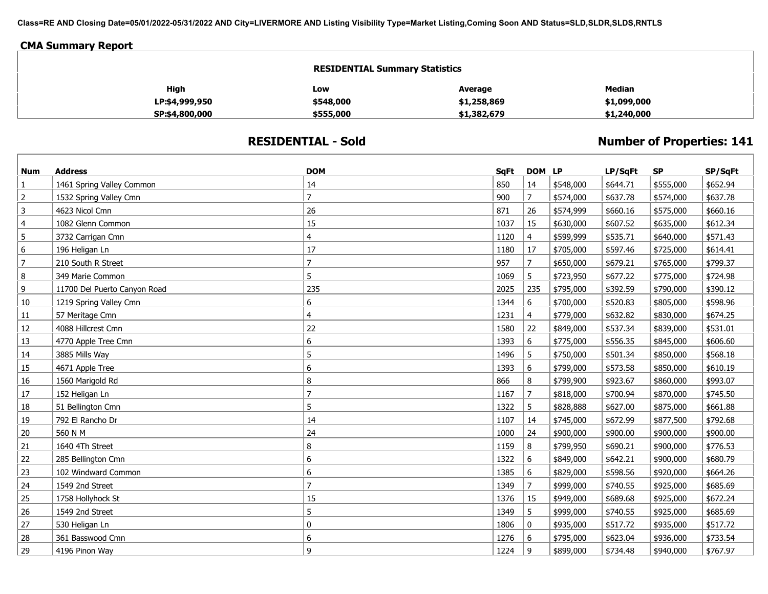**Class=RE AND Closing Date=05/01/2022-05/31/2022 AND City=LIVERMORE AND Listing Visibility Type=Market Listing,Coming Soon AND Status=SLD,SLDR,SLDS,RNTLS**

## **CMA Summary Report**

| <b>RESIDENTIAL Summary Statistics</b><br>High<br><b>Median</b><br>Average<br>Low<br>\$548,000<br>\$1,099,000<br>\$1,258,869<br>LP:\$4,999,950 |           |             |             |  |  |
|-----------------------------------------------------------------------------------------------------------------------------------------------|-----------|-------------|-------------|--|--|
|                                                                                                                                               |           |             |             |  |  |
|                                                                                                                                               |           |             |             |  |  |
| SP:\$4,800,000                                                                                                                                | \$555,000 | \$1,382,679 | \$1,240,000 |  |  |

## **RESIDENTIAL - Sold**

## **Number of Properties: 141**

| <b>Num</b>     | <b>Address</b>               | <b>DOM</b>     | <b>SqFt</b> | DOM LP         |           | LP/SqFt  | <b>SP</b> | SP/SqFt  |
|----------------|------------------------------|----------------|-------------|----------------|-----------|----------|-----------|----------|
| 1              | 1461 Spring Valley Common    | 14             | 850         | 14             | \$548,000 | \$644.71 | \$555,000 | \$652.94 |
| 2              | 1532 Spring Valley Cmn       | $\overline{7}$ | 900         | $\overline{7}$ | \$574,000 | \$637.78 | \$574,000 | \$637.78 |
| 3              | 4623 Nicol Cmn               | 26             | 871         | 26             | \$574,999 | \$660.16 | \$575,000 | \$660.16 |
| $\overline{4}$ | 1082 Glenn Common            | 15             | 1037        | 15             | \$630,000 | \$607.52 | \$635,000 | \$612.34 |
| 5              | 3732 Carrigan Cmn            | 4              | 1120        | 4              | \$599,999 | \$535.71 | \$640,000 | \$571.43 |
| 6              | 196 Heligan Ln               | 17             | 1180        | 17             | \$705,000 | \$597.46 | \$725,000 | \$614.41 |
| 7              | 210 South R Street           | 7              | 957         | 7              | \$650,000 | \$679.21 | \$765,000 | \$799.37 |
| 8              | 349 Marie Common             | 5              | 1069        | 5              | \$723,950 | \$677.22 | \$775,000 | \$724.98 |
| 9              | 11700 Del Puerto Canyon Road | 235            | 2025        | 235            | \$795,000 | \$392.59 | \$790,000 | \$390.12 |
| 10             | 1219 Spring Valley Cmn       | 6              | 1344        | 6              | \$700,000 | \$520.83 | \$805,000 | \$598.96 |
| 11             | 57 Meritage Cmn              | 4              | 1231        | $\overline{4}$ | \$779,000 | \$632.82 | \$830,000 | \$674.25 |
| 12             | 4088 Hillcrest Cmn           | 22             | 1580        | 22             | \$849,000 | \$537.34 | \$839,000 | \$531.01 |
| 13             | 4770 Apple Tree Cmn          | 6              | 1393        | 6              | \$775,000 | \$556.35 | \$845,000 | \$606.60 |
| 14             | 3885 Mills Way               | 5              | 1496        | 5              | \$750,000 | \$501.34 | \$850,000 | \$568.18 |
| 15             | 4671 Apple Tree              | 6              | 1393        | 6              | \$799,000 | \$573.58 | \$850,000 | \$610.19 |
| 16             | 1560 Marigold Rd             | 8              | 866         | 8              | \$799,900 | \$923.67 | \$860,000 | \$993.07 |
| 17             | 152 Heligan Ln               | $\overline{7}$ | 1167        | $\overline{7}$ | \$818,000 | \$700.94 | \$870,000 | \$745.50 |
| 18             | 51 Bellington Cmn            | 5              | 1322        | 5              | \$828,888 | \$627.00 | \$875,000 | \$661.88 |
| 19             | 792 El Rancho Dr             | 14             | 1107        | 14             | \$745,000 | \$672.99 | \$877,500 | \$792.68 |
| 20             | 560 N M                      | 24             | 1000        | 24             | \$900,000 | \$900.00 | \$900,000 | \$900.00 |
| 21             | 1640 4Th Street              | 8              | 1159        | 8              | \$799,950 | \$690.21 | \$900,000 | \$776.53 |
| 22             | 285 Bellington Cmn           | 6              | 1322        | 6              | \$849,000 | \$642.21 | \$900,000 | \$680.79 |
| 23             | 102 Windward Common          | 6              | 1385        | 6              | \$829,000 | \$598.56 | \$920,000 | \$664.26 |
| 24             | 1549 2nd Street              | $\overline{7}$ | 1349        | $\overline{7}$ | \$999,000 | \$740.55 | \$925,000 | \$685.69 |
| 25             | 1758 Hollyhock St            | 15             | 1376        | 15             | \$949,000 | \$689.68 | \$925,000 | \$672.24 |
| 26             | 1549 2nd Street              | 5              | 1349        | 5 <sup>5</sup> | \$999,000 | \$740.55 | \$925,000 | \$685.69 |
| 27             | 530 Heligan Ln               | 0              | 1806        | $\mathbf{0}$   | \$935,000 | \$517.72 | \$935,000 | \$517.72 |
| 28             | 361 Basswood Cmn             | 6              | 1276        | 6              | \$795,000 | \$623.04 | \$936,000 | \$733.54 |
| 29             | 4196 Pinon Way               | 9              | 1224        | 9              | \$899,000 | \$734.48 | \$940,000 | \$767.97 |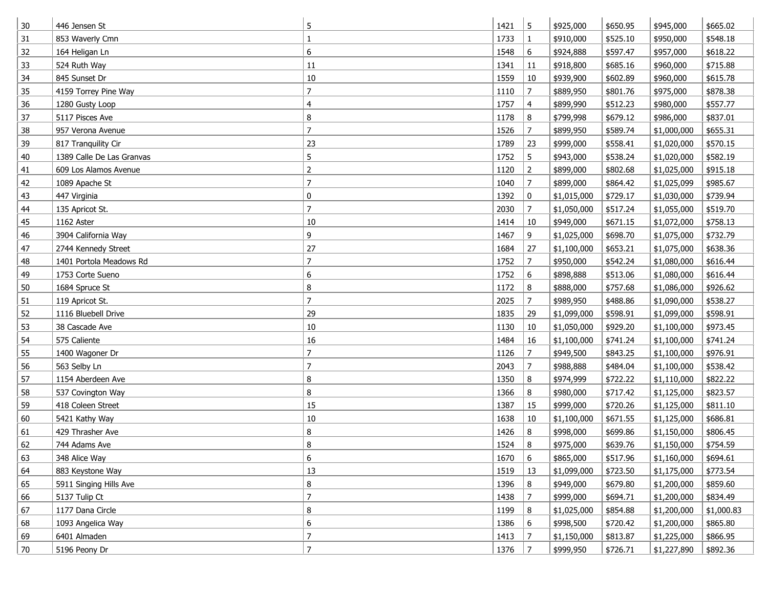| 30 | 446 Jensen St             | 5              | 1421 | 5              | \$925,000   | \$650.95 | \$945,000   | \$665.02   |
|----|---------------------------|----------------|------|----------------|-------------|----------|-------------|------------|
| 31 | 853 Waverly Cmn           | 1              | 1733 | $\mathbf{1}$   | \$910,000   | \$525.10 | \$950,000   | \$548.18   |
| 32 | 164 Heligan Ln            | 6              | 1548 | 6              | \$924,888   | \$597.47 | \$957,000   | \$618.22   |
| 33 | 524 Ruth Way              | 11             | 1341 | 11             | \$918,800   | \$685.16 | \$960,000   | \$715.88   |
| 34 | 845 Sunset Dr             | $10\,$         | 1559 | 10             | \$939,900   | \$602.89 | \$960,000   | \$615.78   |
| 35 | 4159 Torrey Pine Way      | $\overline{7}$ | 1110 | $\overline{7}$ | \$889,950   | \$801.76 | \$975,000   | \$878.38   |
| 36 | 1280 Gusty Loop           | 4              | 1757 | $\overline{4}$ | \$899,990   | \$512.23 | \$980,000   | \$557.77   |
| 37 | 5117 Pisces Ave           | 8              | 1178 | 8              | \$799,998   | \$679.12 | \$986,000   | \$837.01   |
| 38 | 957 Verona Avenue         | $\overline{7}$ | 1526 | $\overline{7}$ | \$899,950   | \$589.74 | \$1,000,000 | \$655.31   |
| 39 | 817 Tranquility Cir       | 23             | 1789 | 23             | \$999,000   | \$558.41 | \$1,020,000 | \$570.15   |
| 40 | 1389 Calle De Las Granvas | 5              | 1752 | 5              | \$943,000   | \$538.24 | \$1,020,000 | \$582.19   |
| 41 | 609 Los Alamos Avenue     | $\overline{2}$ | 1120 | $\overline{2}$ | \$899,000   | \$802.68 | \$1,025,000 | \$915.18   |
| 42 | 1089 Apache St            | $\overline{7}$ | 1040 | $\overline{7}$ | \$899,000   | \$864.42 | \$1,025,099 | \$985.67   |
| 43 | 447 Virginia              | 0              | 1392 | 0              | \$1,015,000 | \$729.17 | \$1,030,000 | \$739.94   |
| 44 | 135 Apricot St.           | $\overline{7}$ | 2030 | $\overline{7}$ | \$1,050,000 | \$517.24 | \$1,055,000 | \$519.70   |
| 45 | 1162 Aster                | 10             | 1414 | 10             | \$949,000   | \$671.15 | \$1,072,000 | \$758.13   |
| 46 | 3904 California Way       | 9              | 1467 | 9              | \$1,025,000 | \$698.70 | \$1,075,000 | \$732.79   |
| 47 | 2744 Kennedy Street       | 27             | 1684 | 27             | \$1,100,000 | \$653.21 | \$1,075,000 | \$638.36   |
| 48 | 1401 Portola Meadows Rd   | $\overline{7}$ | 1752 | $\overline{7}$ | \$950,000   | \$542.24 | \$1,080,000 | \$616.44   |
| 49 | 1753 Corte Sueno          | 6              | 1752 | 6              | \$898,888   | \$513.06 | \$1,080,000 | \$616.44   |
| 50 | 1684 Spruce St            | 8              | 1172 | 8              | \$888,000   | \$757.68 | \$1,086,000 | \$926.62   |
| 51 | 119 Apricot St.           | $\overline{7}$ | 2025 | $\overline{7}$ | \$989,950   | \$488.86 | \$1,090,000 | \$538.27   |
| 52 | 1116 Bluebell Drive       | 29             | 1835 | 29             | \$1,099,000 | \$598.91 | \$1,099,000 | \$598.91   |
| 53 | 38 Cascade Ave            | $10\,$         | 1130 | 10             | \$1,050,000 | \$929.20 | \$1,100,000 | \$973.45   |
| 54 | 575 Caliente              | 16             | 1484 | 16             | \$1,100,000 | \$741.24 | \$1,100,000 | \$741.24   |
| 55 | 1400 Wagoner Dr           | $\overline{7}$ | 1126 | $\overline{7}$ | \$949,500   | \$843.25 | \$1,100,000 | \$976.91   |
| 56 | 563 Selby Ln              | $\overline{7}$ | 2043 | $\overline{7}$ | \$988,888   | \$484.04 | \$1,100,000 | \$538.42   |
| 57 | 1154 Aberdeen Ave         | 8              | 1350 | 8              | \$974,999   | \$722.22 | \$1,110,000 | \$822.22   |
| 58 | 537 Covington Way         | 8              | 1366 | 8              | \$980,000   | \$717.42 | \$1,125,000 | \$823.57   |
| 59 | 418 Coleen Street         | 15             | 1387 | 15             | \$999,000   | \$720.26 | \$1,125,000 | \$811.10   |
| 60 | 5421 Kathy Way            | $10\,$         | 1638 | 10             | \$1,100,000 | \$671.55 | \$1,125,000 | \$686.81   |
| 61 | 429 Thrasher Ave          | 8              | 1426 | 8              | \$998,000   | \$699.86 | \$1,150,000 | \$806.45   |
| 62 | 744 Adams Ave             | 8              | 1524 | 8              | \$975,000   | \$639.76 | \$1,150,000 | \$754.59   |
| 63 | 348 Alice Way             | 6              | 1670 | 6              | \$865,000   | \$517.96 | \$1,160,000 | \$694.61   |
| 64 | 883 Keystone Way          | 13             | 1519 | 13             | \$1,099,000 | \$723.50 | \$1,175,000 | \$773.54   |
| 65 | 5911 Singing Hills Ave    | 8              | 1396 | 8              | \$949,000   | \$679.80 | \$1,200,000 | \$859.60   |
| 66 | 5137 Tulip Ct             | $\overline{7}$ | 1438 | $\overline{7}$ | \$999,000   | \$694.71 | \$1,200,000 | \$834.49   |
| 67 | 1177 Dana Circle          | 8              | 1199 | 8              | \$1,025,000 | \$854.88 | \$1,200,000 | \$1,000.83 |
| 68 | 1093 Angelica Way         | 6              | 1386 | 6              | \$998,500   | \$720.42 | \$1,200,000 | \$865.80   |
| 69 | 6401 Almaden              | $\overline{7}$ | 1413 | $\overline{7}$ | \$1,150,000 | \$813.87 | \$1,225,000 | \$866.95   |
| 70 | 5196 Peony Dr             | $\overline{7}$ | 1376 | $\overline{7}$ | \$999,950   | \$726.71 | \$1,227,890 | \$892.36   |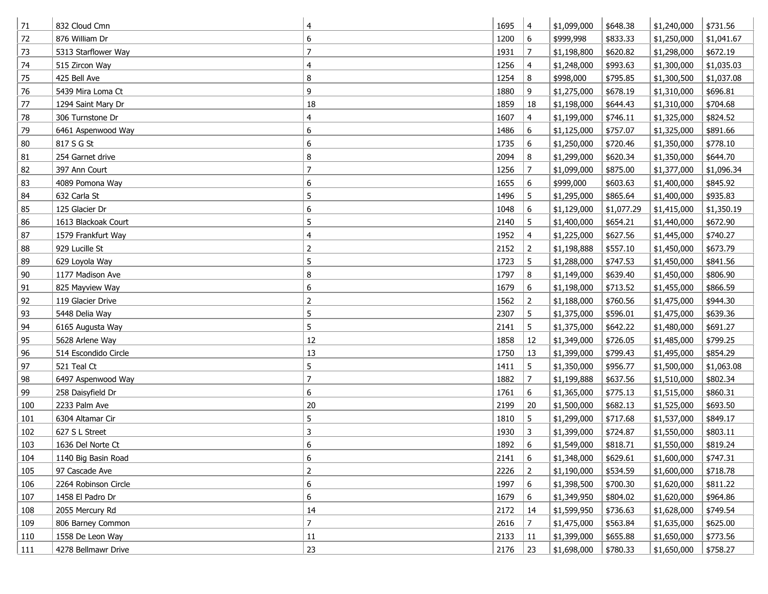| 71  | 832 Cloud Cmn        | 4              | 1695 | 4               | \$1,099,000 | \$648.38   | \$1,240,000 | \$731.56   |
|-----|----------------------|----------------|------|-----------------|-------------|------------|-------------|------------|
| 72  | 876 William Dr       | 6              | 1200 | 6               | \$999,998   | \$833.33   | \$1,250,000 | \$1,041.67 |
| 73  | 5313 Starflower Way  | $\overline{7}$ | 1931 | $\overline{7}$  | \$1,198,800 | \$620.82   | \$1,298,000 | \$672.19   |
| 74  | 515 Zircon Way       | 4              | 1256 | 4               | \$1,248,000 | \$993.63   | \$1,300,000 | \$1,035.03 |
| 75  | 425 Bell Ave         | 8              | 1254 | 8               | \$998,000   | \$795.85   | \$1,300,500 | \$1,037.08 |
| 76  | 5439 Mira Loma Ct    | 9              | 1880 | 9               | \$1,275,000 | \$678.19   | \$1,310,000 | \$696.81   |
| 77  | 1294 Saint Mary Dr   | 18             | 1859 | 18              | \$1,198,000 | \$644.43   | \$1,310,000 | \$704.68   |
| 78  | 306 Turnstone Dr     | 4              | 1607 | 4               | \$1,199,000 | \$746.11   | \$1,325,000 | \$824.52   |
| 79  | 6461 Aspenwood Way   | 6              | 1486 | 6               | \$1,125,000 | \$757.07   | \$1,325,000 | \$891.66   |
| 80  | 817 S G St           | 6              | 1735 | 6               | \$1,250,000 | \$720.46   | \$1,350,000 | \$778.10   |
| 81  | 254 Garnet drive     | 8              | 2094 | 8               | \$1,299,000 | \$620.34   | \$1,350,000 | \$644.70   |
| 82  | 397 Ann Court        | $\overline{7}$ | 1256 | 7               | \$1,099,000 | \$875.00   | \$1,377,000 | \$1,096.34 |
| 83  | 4089 Pomona Way      | 6              | 1655 | 6               | \$999,000   | \$603.63   | \$1,400,000 | \$845.92   |
| 84  | 632 Carla St         | 5              | 1496 | 5               | \$1,295,000 | \$865.64   | \$1,400,000 | \$935.83   |
| 85  | 125 Glacier Dr       | 6              | 1048 | 6               | \$1,129,000 | \$1,077.29 | \$1,415,000 | \$1,350.19 |
| 86  | 1613 Blackoak Court  | 5              | 2140 | 5               | \$1,400,000 | \$654.21   | \$1,440,000 | \$672.90   |
| 87  | 1579 Frankfurt Way   | 4              | 1952 | 4               | \$1,225,000 | \$627.56   | \$1,445,000 | \$740.27   |
| 88  | 929 Lucille St       | $\overline{2}$ | 2152 | $\overline{2}$  | \$1,198,888 | \$557.10   | \$1,450,000 | \$673.79   |
| 89  | 629 Loyola Way       | 5              | 1723 | 5               | \$1,288,000 | \$747.53   | \$1,450,000 | \$841.56   |
| 90  | 1177 Madison Ave     | 8              | 1797 | 8               | \$1,149,000 | \$639.40   | \$1,450,000 | \$806.90   |
| 91  | 825 Mayview Way      | 6              | 1679 | 6               | \$1,198,000 | \$713.52   | \$1,455,000 | \$866.59   |
| 92  | 119 Glacier Drive    | $\overline{2}$ | 1562 | $\overline{2}$  | \$1,188,000 | \$760.56   | \$1,475,000 | \$944.30   |
| 93  | 5448 Delia Way       | 5              | 2307 | 5               | \$1,375,000 | \$596.01   | \$1,475,000 | \$639.36   |
| 94  | 6165 Augusta Way     | 5              | 2141 | 5               | \$1,375,000 | \$642.22   | \$1,480,000 | \$691.27   |
| 95  | 5628 Arlene Way      | $12\,$         | 1858 | 12              | \$1,349,000 | \$726.05   | \$1,485,000 | \$799.25   |
| 96  | 514 Escondido Circle | 13             | 1750 | 13              | \$1,399,000 | \$799.43   | \$1,495,000 | \$854.29   |
| 97  | 521 Teal Ct          | 5              | 1411 | 5               | \$1,350,000 | \$956.77   | \$1,500,000 | \$1,063.08 |
| 98  | 6497 Aspenwood Way   | $\overline{7}$ | 1882 | $\overline{7}$  | \$1,199,888 | \$637.56   | \$1,510,000 | \$802.34   |
| 99  | 258 Daisyfield Dr    | 6              | 1761 | 6               | \$1,365,000 | \$775.13   | \$1,515,000 | \$860.31   |
| 100 | 2233 Palm Ave        | 20             | 2199 | 20              | \$1,500,000 | \$682.13   | \$1,525,000 | \$693.50   |
| 101 | 6304 Altamar Cir     | 5              | 1810 | 5               | \$1,299,000 | \$717.68   | \$1,537,000 | \$849.17   |
| 102 | 627 S L Street       | 3              | 1930 | 3               | \$1,399,000 | \$724.87   | \$1,550,000 | \$803.11   |
| 103 | 1636 Del Norte Ct    | 6              | 1892 | 6               | \$1,549,000 | \$818.71   | \$1,550,000 | \$819.24   |
| 104 | 1140 Big Basin Road  | 6              | 2141 | 6               | \$1,348,000 | \$629.61   | \$1,600,000 | \$747.31   |
| 105 | 97 Cascade Ave       | $\overline{2}$ | 2226 | $\overline{2}$  | \$1,190,000 | \$534.59   | \$1,600,000 | \$718.78   |
| 106 | 2264 Robinson Circle | 6              | 1997 | 6               | \$1,398,500 | \$700.30   | \$1,620,000 | \$811.22   |
| 107 | 1458 El Padro Dr     | 6              | 1679 | 6               | \$1,349,950 | \$804.02   | \$1,620,000 | \$964.86   |
| 108 | 2055 Mercury Rd      | 14             | 2172 | 14              | \$1,599,950 | \$736.63   | \$1,628,000 | \$749.54   |
| 109 | 806 Barney Common    | $\overline{7}$ | 2616 | $7\overline{ }$ | \$1,475,000 | \$563.84   | \$1,635,000 | \$625.00   |
| 110 | 1558 De Leon Way     | $11\,$         | 2133 | 11              | \$1,399,000 | \$655.88   | \$1,650,000 | \$773.56   |
| 111 | 4278 Bellmawr Drive  | 23             | 2176 | 23              | \$1,698,000 | \$780.33   | \$1,650,000 | \$758.27   |